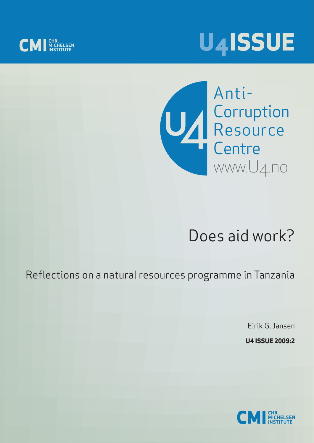





# Does aid work?

Reflections on a natural resources programme in Tanzania

Eirik G. Jansen

**U4 ISSUE 2009:2**

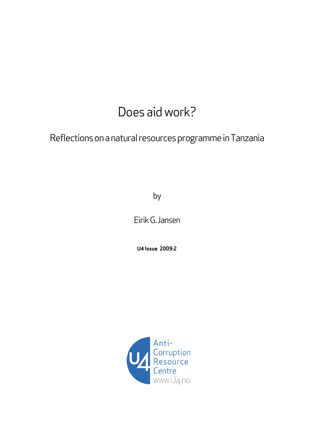## Does aid work?

Reflections on a natural resources programme in Tanzania

by

Eirik G. Jansen

**U4 Issue 2009:2** 

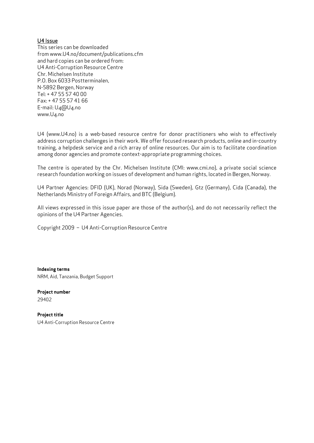#### U4 Issue

This series can be downloaded from www.U4.no/document/publications.cfm and hard copies can be ordered from: U4 Anti-Corruption Resource Centre Chr. Michelsen Institute P.O. Box 6033 Postterminalen, N-5892 Bergen, Norway Tel: + 47 55 57 40 00 Fax: + 47 55 57 41 66 E-mail: U4@U4.no www.U4.no

U4 (www.U4.no) is a web-based resource centre for donor practitioners who wish to effectively address corruption challenges in their work. We offer focused research products, online and in-country training, a helpdesk service and a rich array of online resources. Our aim is to facilitate coordination among donor agencies and promote context-appropriate programming choices.

The centre is operated by the Chr. Michelsen Institute (CMI: www.cmi.no), a private social science research foundation working on issues of development and human rights, located in Bergen, Norway.

U4 Partner Agencies: DFID (UK), Norad (Norway), Sida (Sweden), Gtz (Germany), Cida (Canada), the Netherlands Ministry of Foreign Affairs, and BTC (Belgium).

All views expressed in this issue paper are those of the author(s), and do not necessarily reflect the opinions of the U4 Partner Agencies.

Copyright 2009 – U4 Anti-Corruption Resource Centre

**Indexing terms**  NRM, Aid, Tanzania, Budget Support

**Project number**  29402

**Project title**  U4 Anti-Corruption Resource Centre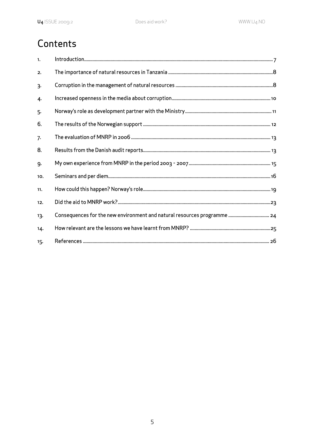### Contents

| $\mathbf{1}$ |                                                                          |
|--------------|--------------------------------------------------------------------------|
| 2.           |                                                                          |
| 3.           |                                                                          |
| 4.           |                                                                          |
| 5.           |                                                                          |
| 6.           |                                                                          |
| 7.           |                                                                          |
| 8.           |                                                                          |
| 9.           |                                                                          |
| 10.          |                                                                          |
| 11.          |                                                                          |
| 12.          |                                                                          |
| 13.          | Consequences for the new environment and natural resources programme  24 |
| 14.          |                                                                          |
| 15.          |                                                                          |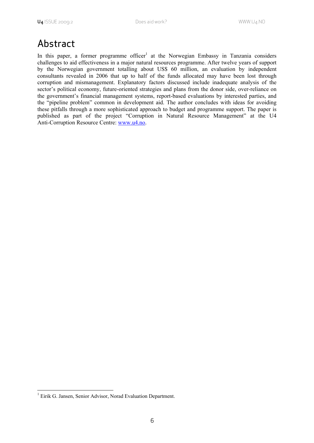### Abstract

In this paper, a former programme officer<sup>1</sup> at the Norwegian Embassy in Tanzania considers challenges to aid effectiveness in a major natural resources programme. After twelve years of support by the Norwegian government totalling about US\$ 60 million, an evaluation by independent consultants revealed in 2006 that up to half of the funds allocated may have been lost through corruption and mismanagement. Explanatory factors discussed include inadequate analysis of the sector's political economy, future-oriented strategies and plans from the donor side, over-reliance on the government's financial management systems, report-based evaluations by interested parties, and the "pipeline problem" common in development aid. The author concludes with ideas for avoiding these pitfalls through a more sophisticated approach to budget and programme support. The paper is published as part of the project "Corruption in Natural Resource Management" at the U4 Anti-Corruption Resource Centre: www.u4.no.

 1 Eirik G. Jansen, Senior Advisor, Norad Evaluation Department.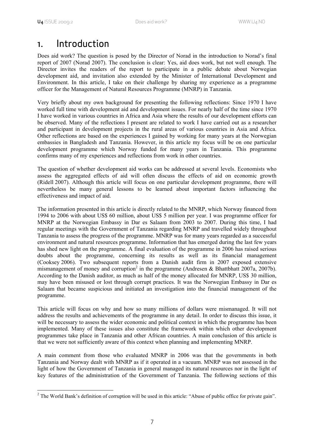### 1. Introduction

Does aid work? The question is posed by the Director of Norad in the introduction to Norad's final report of 2007 (Norad 2007). The conclusion is clear: Yes, aid does work, but not well enough. The Director invites the readers of the report to participate in a public debate about Norwegian development aid, and invitation also extended by the Minister of International Development and Environment. In this article, I take on their challenge by sharing my experience as a programme officer for the Management of Natural Resources Programme (MNRP) in Tanzania.

Very briefly about my own background for presenting the following reflections: Since 1970 I have worked full time with development aid and development issues. For nearly half of the time since 1970 I have worked in various countries in Africa and Asia where the results of our development efforts can be observed. Many of the reflections I present are related to work I have carried out as a researcher and participant in development projects in the rural areas of various countries in Asia and Africa. Other reflections are based on the experiences I gained by working for many years at the Norwegian embassies in Bangladesh and Tanzania. However, in this article my focus will be on one particular development programme which Norway funded for many years in Tanzania. This programme confirms many of my experiences and reflections from work in other countries.

The question of whether development aid works can be addressed at several levels. Economists who assess the aggregated effects of aid will often discuss the effects of aid on economic growth (Ridell 2007). Although this article will focus on one particular development programme, there will nevertheless be many general lessons to be learned about important factors influencing the effectiveness and impact of aid.

The information presented in this article is directly related to the MNRP, which Norway financed from 1994 to 2006 with about US\$ 60 million, about US\$ 5 million per year. I was programme officer for MNRP at the Norwegian Embassy in Dar es Salaam from 2003 to 2007. During this time, I had regular meetings with the Government of Tanzania regarding MNRP and travelled widely throughout Tanzania to assess the progress of the programme. MNRP was for many years regarded as a successful environment and natural resources programme. Information that has emerged during the last few years has shed new light on the programme. A final evaluation of the programme in 2006 has raised serious doubts about the programme, concerning its results as well as its financial management (Cooksey 2006). Two subsequent reports from a Danish audit firm in 2007 exposed extensive mismanagement of money and corruption<sup>2</sup> in the programme (Andresen & Bhattbhatt 2007a, 2007b). According to the Danish auditor, as much as half of the money allocated for MNRP, US\$ 30 million, may have been misused or lost through corrupt practices. It was the Norwegian Embassy in Dar es Salaam that became suspicious and initiated an investigation into the financial management of the programme.

This article will focus on why and how so many millions of dollars were mismanaged. It will not address the results and achievements of the programme in any detail. In order to discuss this issue, it will be necessary to assess the wider economic and political context in which the programme has been implemented. Many of these issues also constitute the framework within which other development programmes take place in Tanzania and other African countries. A main conclusion of this article is that we were not sufficiently aware of this context when planning and implementing MNRP.

A main comment from those who evaluated MNRP in 2006 was that the governments in both Tanzania and Norway dealt with MNRP as if it operated in a vacuum. MNRP was not assessed in the light of how the Government of Tanzania in general managed its natural resources nor in the light of key features of the administration of the Government of Tanzania. The following sections of this

<sup>&</sup>lt;sup>2</sup> The World Bank's definition of corruption will be used in this article: "Abuse of public office for private gain".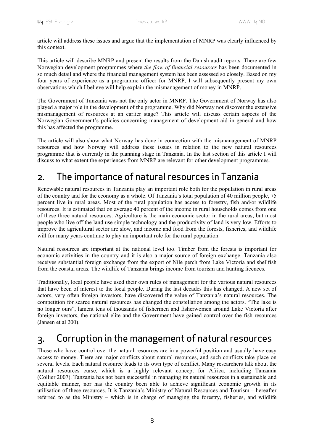article will address these issues and argue that the implementation of MNRP was clearly influenced by this context.

This article will describe MNRP and present the results from the Danish audit reports. There are few Norwegian development programmes where *the flow of financial resources* has been documented in so much detail and where the financial management system has been assessed so closely. Based on my four years of experience as a programme officer for MNRP, I will subsequently present my own observations which I believe will help explain the mismanagement of money in MNRP.

The Government of Tanzania was not the only actor in MNRP. The Government of Norway has also played a major role in the development of the programme. Why did Norway not discover the extensive mismanagement of resources at an earlier stage? This article will discuss certain aspects of the Norwegian Government's policies concerning management of development aid in general and how this has affected the programme.

The article will also show what Norway has done in connection with the mismanagement of MNRP resources and how Norway will address these issues in relation to the new natural resources programme that is currently in the planning stage in Tanzania. In the last section of this article I will discuss to what extent the experiences from MNRP are relevant for other development programmes.

### 2. The importance of natural resources in Tanzania

Renewable natural resources in Tanzania play an important role both for the population in rural areas of the country and for the economy as a whole. Of Tanzania's total population of 40 million people, 75 percent live in rural areas. Most of the rural population has access to forestry, fish and/or wildlife resources. It is estimated that on average 40 percent of the income in rural households comes from one of these three natural resources. Agriculture is the main economic sector in the rural areas, but most people who live off the land use simple technology and the productivity of land is very low. Efforts to improve the agricultural sector are slow, and income and food from the forests, fisheries, and wildlife will for many years continue to play an important role for the rural population.

Natural resources are important at the national level too. Timber from the forests is important for economic activities in the country and it is also a major source of foreign exchange. Tanzania also receives substantial foreign exchange from the export of Nile perch from Lake Victoria and shellfish from the coastal areas. The wildlife of Tanzania brings income from tourism and hunting licences.

Traditionally, local people have used their own rules of management for the various natural resources that have been of interest to the local people. During the last decades this has changed. A new set of actors, very often foreign investors, have discovered the value of Tanzania's natural resources. The competition for scarce natural resources has changed the constellation among the actors. "The lake is no longer ours", lament tens of thousands of fishermen and fisherwomen around Lake Victoria after foreign investors, the national elite and the Government have gained control over the fish resources (Jansen et al 200).

### 3. Corruption in the management of natural resources

Those who have control over the natural resources are in a powerful position and usually have easy access to money. There are major conflicts about natural resources, and such conflicts take place on several levels. Each natural resource leads to its own type of conflict. Many researchers talk about the natural resources curse, which is a highly relevant concept for Africa, including Tanzania (Collier 2007). Tanzania has not been successful in managing its natural resources in a sustainable and equitable manner, nor has the country been able to achieve significant economic growth in its utilisation of these resources. It is Tanzania's Ministry of Natural Resources and Tourism – hereafter referred to as the Ministry – which is in charge of managing the forestry, fisheries, and wildlife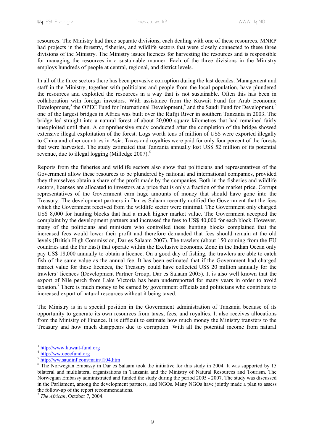resources. The Ministry had three separate divisions, each dealing with one of these resources. MNRP had projects in the forestry, fisheries, and wildlife sectors that were closely connected to these three divisions of the Ministry. The Ministry issues licences for harvesting the resources and is responsible for managing the resources in a sustainable manner. Each of the three divisions in the Ministry employs hundreds of people at central, regional, and district levels.

In all of the three sectors there has been pervasive corruption during the last decades. Management and staff in the Ministry, together with politicians and people from the local population, have plundered the resources and exploited the resources in a way that is not sustainable. Often this has been in collaboration with foreign investors. With assistance from the Kuwait Fund for Arab Economic Development,<sup>3</sup> the OPEC Fund for International Development,<sup>4</sup> and the Saudi Fund for Development,<sup>5</sup> one of the largest bridges in Africa was built over the Rufiji River in southern Tanzania in 2003. The bridge led straight into a natural forest of about 20,000 square kilometres that had remained fairly unexploited until then. A comprehensive study conducted after the completion of the bridge showed extensive illegal exploitation of the forest. Logs worth tens of million of US\$ were exported illegally to China and other countries in Asia. Taxes and royalties were paid for only four percent of the forests that were harvested. The study estimated that Tanzania annually lost US\$ 52 million of its potential revenue, due to illegal logging (Milledge 2007).<sup>6</sup>

Reports from the fisheries and wildlife sectors also show that politicians and representatives of the Government allow these resources to be plundered by national and international companies, provided they themselves obtain a share of the profit made by the companies. Both in the fisheries and wildlife sectors, licenses are allocated to investors at a price that is only a fraction of the market price. Corrupt representatives of the Government earn huge amounts of money that should have gone into the Treasury. The development partners in Dar es Salaam recently notified the Government that the fees which the Government received from the wildlife sector were minimal. The Government only charged US\$ 8,000 for hunting blocks that had a much higher market value. The Government accepted the complaint by the development partners and increased the fees to US\$ 40,000 for each block. However, many of the politicians and ministers who controlled these hunting blocks complained that the increased fees would lower their profit and therefore demanded that fees should remain at the old levels (British High Commission, Dar es Salaam 2007). The trawlers (about 150 coming from the EU countries and the Far East) that operate within the Exclusive Economic Zone in the Indian Ocean only pay US\$ 18,000 annually to obtain a licence. On a good day of fishing, the trawlers are able to catch fish of the same value as the annual fee. It has been estimated that if the Government had charged market value for these licences, the Treasury could have collected US\$ 20 million annually for the trawlers' licences (Development Partner Group, Dar es Salaam 2005). It is also well known that the export of Nile perch from Lake Victoria has been underreported for many years in order to avoid taxation.<sup>7</sup> There is much money to be earned by government officials and politicians who contribute to increased export of natural resources without it being taxed.

The Ministry is in a special position in the Government administration of Tanzania because of its opportunity to generate its own resources from taxes, fees, and royalties. It also receives allocations from the Ministry of Finance. It is difficult to estimate how much money the Ministry transfers to the Treasury and how much disappears due to corruption. With all the potential income from natural

-

<sup>&</sup>lt;sup>3</sup> http://www.kuwait-fund.org

<sup>4</sup> http://ww.opecfund.org

<sup>5</sup> http://ww.saudinf.com/main/l104.htm

<sup>&</sup>lt;sup>6</sup> The Norwegian Embassy in Dar es Salaam took the initiative for this study in 2004. It was supported by 15 bilateral and multilateral organisations in Tanzania and the Ministry of Natural Resources and Tourism. The Norwegian Embassy administrated and funded the study during the period 2005 - 2007. The study was discussed in the Parliament, among the development partners, and NGOs. Many NGOs have jointly made a plan to assess the follow-up of the report recommendations.

<sup>7</sup> *The African*, October 7, 2004.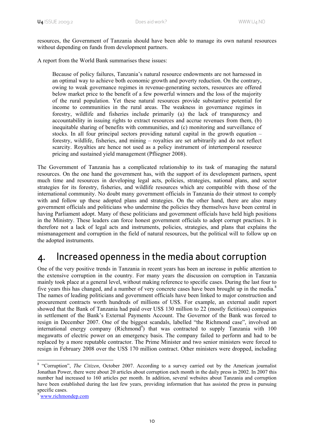resources, the Government of Tanzania should have been able to manage its own natural resources without depending on funds from development partners.

A report from the World Bank summarises these issues:

Because of policy failures, Tanzania's natural resource endowments are not harnessed in an optimal way to achieve both economic growth and poverty reduction. On the contrary, owing to weak governance regimes in revenue-generating sectors, resources are offered below market price to the benefit of a few powerful winners and the loss of the majority of the rural population. Yet these natural resources provide substantive potential for income to communities in the rural areas. The weakness in governance regimes in forestry, wildlife and fisheries include primarily (a) the lack of transparency and accountability in issuing rights to extract resources and accrue revenues from them, (b) inequitable sharing of benefits with communities, and (c) monitoring and surveillance of stocks. In all four principal sectors providing natural capital in the growth equation – forestry, wildlife, fisheries, and mining – royalties are set arbitrarily and do not reflect scarcity. Royalties are hence not used as a policy instrument of intertemporal resource pricing and sustained yield management (Pfliegner 2008).

The Government of Tanzania has a complicated relationship to its task of managing the natural resources. On the one hand the government has, with the support of its development partners, spent much time and resources in developing legal acts, policies, strategies, national plans, and sector strategies for its forestry, fisheries, and wildlife resources which are compatible with those of the international community. No doubt many government officials in Tanzania do their utmost to comply with and follow up these adopted plans and strategies. On the other hand, there are also many government officials and politicians who undermine the policies they themselves have been central in having Parliament adopt. Many of these politicians and government officials have held high positions in the Ministry. These leaders can force honest government officials to adopt corrupt practises. It is therefore not a lack of legal acts and instruments, policies, strategies, and plans that explains the mismanagement and corruption in the field of natural resources, but the political will to follow up on the adopted instruments.

### 4. Increased openness in the media about corruption

One of the very positive trends in Tanzania in recent years has been an increase in public attention to the extensive corruption in the country. For many years the discussion on corruption in Tanzania mainly took place at a general level, without making reference to specific cases. During the last four to five years this has changed, and a number of very concrete cases have been brought up in the media.<sup>8</sup> The names of leading politicians and government officials have been linked to major construction and procurement contracts worth hundreds of millions of US\$. For example, an external audit report showed that the Bank of Tanzania had paid over US\$ 130 million to 22 (mostly fictitious) companies in settlement of the Bank's External Payments Account. The Governor of the Bank was forced to resign in December 2007. One of the biggest scandals, labelled "the Richmond case", involved an international energy company (Richmond<sup>9</sup>) that was contracted to supply Tanzania with 100 megawatts of electric power on an emergency basis. The company failed to perform and had to be replaced by a more reputable contractor. The Prime Minister and two senior ministers were forced to resign in February 2008 over the US\$ 170 million contract. Other ministers were dropped, including

<sup>-</sup><sup>8</sup> "Corruption", *The Citizen*, October 2007. According to a survey carried out by the American journalist Jonathan Power, there were about 20 articles about corruption each month in the daily press in 2002. In 2007 this number had increased to 160 articles per month. In addition, several websites about Tanzania and corruption have been established during the last few years, providing information that has assisted the press in pursuing specific cases.

<sup>9</sup> www.richmondep.com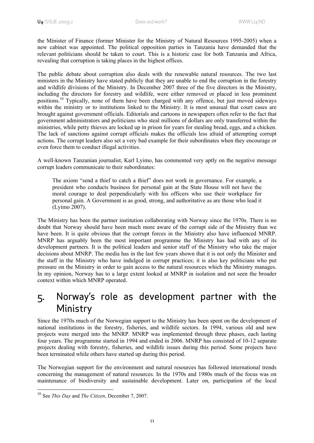the Minister of Finance (former Minister for the Ministry of Natural Resources 1995-2005) when a new cabinet was appointed. The political opposition parties in Tanzania have demanded that the relevant politicians should be taken to court. This is a historic case for both Tanzania and Africa, revealing that corruption is taking places in the highest offices.

The public debate about corruption also deals with the renewable natural resources. The two last ministers in the Ministry have stated publicly that they are unable to end the corruption in the forestry and wildlife divisions of the Ministry. In December 2007 three of the five directors in the Ministry, including the directors for forestry and wildlife, were either removed or placed in less prominent positions.10 Typically, none of them have been charged with any offence, but just moved sideways within the ministry or to institutions linked to the Ministry. It is most unusual that court cases are brought against government officials. Editorials and cartoons in newspapers often refer to the fact that government administrators and politicians who steal millions of dollars are only transferred within the ministries, while petty thieves are locked up in prison for years for stealing bread, eggs, and a chicken. The lack of sanctions against corrupt officials makes the officials less afraid of attempting corrupt actions. The corrupt leaders also set a very bad example for their subordinates when they encourage or even force them to conduct illegal activities.

A well-known Tanzanian journalist, Karl Lyimo, has commented very aptly on the negative message corrupt leaders communicate to their subordinates:

The axiom "send a thief to catch a thief" does not work in governance. For example, a president who conducts business for personal gain at the State House will not have the moral courage to deal perpendicularly with his officers who use their workplace for personal gain. A Government is as good, strong, and authoritative as are those who lead it (Lyimo 2007).

The Ministry has been the partner institution collaborating with Norway since the 1970s. There is no doubt that Norway should have been much more aware of the corrupt side of the Ministry than we have been. It is quite obvious that the corrupt forces in the Ministry also have influenced MNRP. MNRP has arguably been the most important programme the Ministry has had with any of its development partners. It is the political leaders and senior staff of the Ministry who take the major decisions about MNRP. The media has in the last few years shown that it is not only the Minister and the staff in the Ministry who have indulged in corrupt practices; it is also key politicians who put pressure on the Ministry in order to gain access to the natural resources which the Ministry manages. In my opinion, Norway has to a large extent looked at MNRP in isolation and not seen the broader context within which MNRP operated.

### 5. Norway's role as development partner with the Ministry

Since the 1970s much of the Norwegian support to the Ministry has been spent on the development of national institutions in the forestry, fisheries, and wildlife sectors. In 1994, various old and new projects were merged into the MNRP. MNRP was implemented through three phases, each lasting four years. The programme started in 1994 and ended in 2006. MNRP has consisted of 10-12 separate projects dealing with forestry, fisheries, and wildlife issues during this period. Some projects have been terminated while others have started up during this period.

The Norwegian support for the environment and natural resources has followed international trends concerning the management of natural resources. In the 1970s and 1980s much of the focus was on maintenance of biodiversity and sustainable development. Later on, participation of the local

1

<sup>10</sup> See *This Day* and *The Citizen*, December 7, 2007.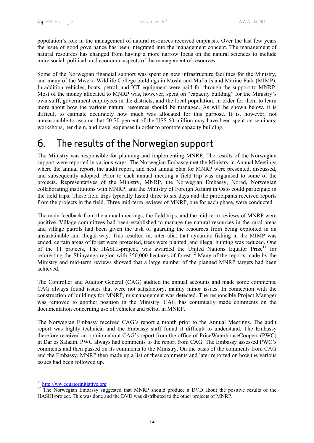population's role in the management of natural resources received emphasis. Over the last few years the issue of good governance has been integrated into the management concept. The management of natural resources has changed from having a more narrow focus on the natural sciences to include more social, political, and economic aspects of the management of resources.

Some of the Norwegian financial support was spent on new infrastructure facilities for the Ministry, and many of the Mweka Wildlife College buildings in Moshi and Mafia Island Marine Park (MIMP). In addition vehicles, boats, petrol, and ICT equipment were paid for through the support to MNRP. Most of the money allocated to MNRP was, however, spent on "capacity building" for the Ministry's own staff, government employees in the districts, and the local population, in order for them to learn more about how the various natural resources should be managed. As will be shown below, it is difficult to estimate accurately how much was allocated for this purpose. It is, however, not unreasonable to assume that 50-70 percent of the US\$ 60 million may have been spent on seminars, workshops, per diem, and travel expenses in order to promote capacity building.

### 6. The results of the Norwegian support

The Ministry was responsible for planning and implementing MNRP. The results of the Norwegian support were reported in various ways. The Norwegian Embassy met the Ministry in Annual Meetings where the annual report, the audit report, and next annual plan for MNRP were presented, discussed, and subsequently adopted. Prior to each annual meeting a field trip was organised to some of the projects. Representatives of the Ministry, MNRP, the Norwegian Embassy, Norad, Norwegian collaborating institutions with MNRP, and the Ministry of Foreign Affairs in Oslo could participate in the field trips. These field trips typically lasted three to six days and the participants received reports from the projects in the field. Three mid-term reviews of MNRP, one for each phase, were conducted.

The main feedback from the annual meetings, the field trips, and the mid-term reviews of MNRP were positive. Village committees had been established to manage the natural resources in the rural areas and village patrols had been given the task of guarding the resources from being exploited in an unsustainable and illegal way. This resulted in, inter alia, that dynamite fishing in the MIMP was ended, certain areas of forest were protected, trees were planted, and illegal hunting was reduced. One of the 11 projects, The HASHI-project, was awarded the United Nations Equator Prize<sup>11</sup> for reforesting the Shinyanga region with 350,000 hectares of forest.<sup>12</sup> Many of the reports made by the Ministry and mid-term reviews showed that a large number of the planned MNRP targets had been achieved.

The Controller and Auditor General (CAG) audited the annual accounts and made some comments. CAG always found issues that were not satisfactory, mainly minor issues. In connection with the construction of buildings for MNRP, mismanagement was detected. The responsible Project Manager was removed to another position in the Ministry. CAG has continually made comments on the documentation concerning use of vehicles and petrol in MNRP.

The Norwegian Embassy received CAG's report a month prior to the Annual Meetings. The audit report was highly technical and the Embassy staff found it difficult to understand. The Embassy therefore received an opinion about CAG's report from the office of PriceWaterhouseCoopers (PWC) in Dar es Salaam. PWC always had comments to the report from CAG. The Embassy assessed PWC's comments and then passed on its comments to the Ministry. On the basis of the comments from CAG and the Embassy, MNRP then made up a list of these comments and later reported on how the various issues had been followed up.

<sup>&</sup>lt;sup>11</sup> http://ww.equatorinitiative.org

<sup>&</sup>lt;sup>12</sup> The Norwegian Embassy suggested that MNRP should produce a DVD about the positive results of the HASHI-project. This was done and the DVD was distributed to the other projects of MNRP.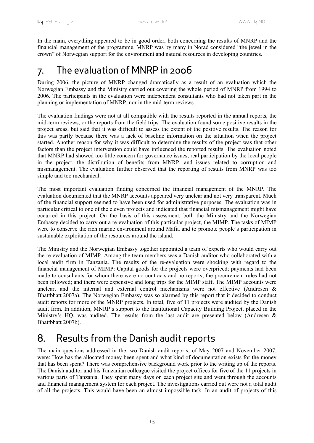In the main, everything appeared to be in good order, both concerning the results of MNRP and the financial management of the programme. MNRP was by many in Norad considered "the jewel in the crown" of Norwegian support for the environment and natural resources in developing countries.

### 7. The evaluation of MNRP in 2006

During 2006, the picture of MNRP changed dramatically as a result of an evaluation which the Norwegian Embassy and the Ministry carried out covering the whole period of MNRP from 1994 to 2006. The participants in the evaluation were independent consultants who had not taken part in the planning or implementation of MNRP, nor in the mid-term reviews.

The evaluation findings were not at all compatible with the results reported in the annual reports, the mid-term reviews, or the reports from the field trips. The evaluation found some positive results in the project areas, but said that it was difficult to assess the extent of the positive results. The reason for this was partly because there was a lack of baseline information on the situation when the project started. Another reason for why it was difficult to determine the results of the project was that other factors than the project intervention could have influenced the reported results. The evaluation noted that MNRP had showed too little concern for governance issues, real participation by the local people in the project, the distribution of benefits from MNRP, and issues related to corruption and mismanagement. The evaluation further observed that the reporting of results from MNRP was too simple and too mechanical.

The most important evaluation finding concerned the financial management of the MNRP. The evaluation documented that the MNRP accounts appeared very unclear and not very transparent. Much of the financial support seemed to have been used for administrative purposes. The evaluation was in particular critical to one of the eleven projects and indicated that financial mismanagement might have occurred in this project. On the basis of this assessment, both the Ministry and the Norwegian Embassy decided to carry out a re-evaluation of this particular project, the MIMP. The tasks of MIMP were to conserve the rich marine environment around Mafia and to promote people's participation in sustainable exploitation of the resources around the island.

The Ministry and the Norwegian Embassy together appointed a team of experts who would carry out the re-evaluation of MIMP. Among the team members was a Danish auditor who collaborated with a local audit firm in Tanzania. The results of the re-evaluation were shocking with regard to the financial management of MIMP: Capital goods for the projects were overpriced; payments had been made to consultants for whom there were no contracts and no reports; the procurement rules had not been followed; and there were expensive and long trips for the MIMP staff. The MIMP accounts were unclear, and the internal and external control mechanisms were not effective (Andresen & Bhattbhatt 2007a). The Norwegian Embassy was so alarmed by this report that it decided to conduct audit reports for more of the MNRP projects. In total, five of 11 projects were audited by the Danish audit firm. In addition, MNRP's support to the Institutional Capacity Building Project, placed in the Ministry's HQ, was audited. The results from the last audit are presented below (Andresen & Bhattbhatt 2007b).

### 8. Results from the Danish audit reports

The main questions addressed in the two Danish audit reports, of May 2007 and November 2007, were: How has the allocated money been spent and what kind of documentation exists for the money that has been spent? There was comprehensive background work prior to the writing up of the reports. The Danish auditor and his Tanzanian colleague visited the project offices for five of the 11 projects in various parts of Tanzania. They spent many days on each project site and went through the accounts and financial management system for each project. The investigations carried out were not a total audit of all the projects. This would have been an almost impossible task. In an audit of projects of this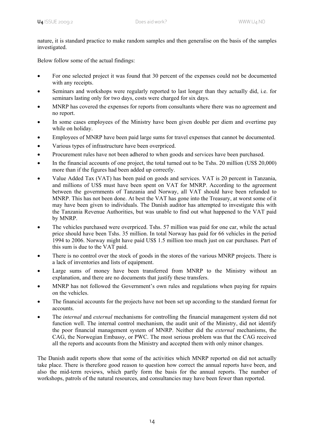nature, it is standard practice to make random samples and then generalise on the basis of the samples investigated.

Below follow some of the actual findings:

- For one selected project it was found that 30 percent of the expenses could not be documented with any receipts.
- Seminars and workshops were regularly reported to last longer than they actually did, i.e. for seminars lasting only for two days, costs were charged for six days.
- MNRP has covered the expenses for reports from consultants where there was no agreement and no report.
- In some cases employees of the Ministry have been given double per diem and overtime pay while on holiday.
- Employees of MNRP have been paid large sums for travel expenses that cannot be documented.
- Various types of infrastructure have been overpriced.
- Procurement rules have not been adhered to when goods and services have been purchased.
- In the financial accounts of one project, the total turned out to be Tshs. 20 million (US\$ 20,000) more than if the figures had been added up correctly.
- Value Added Tax (VAT) has been paid on goods and services. VAT is 20 percent in Tanzania, and millions of US\$ must have been spent on VAT for MNRP. According to the agreement between the governments of Tanzania and Norway, all VAT should have been refunded to MNRP. This has not been done. At best the VAT has gone into the Treasury, at worst some of it may have been given to individuals. The Danish auditor has attempted to investigate this with the Tanzania Revenue Authorities, but was unable to find out what happened to the VAT paid by MNRP.
- The vehicles purchased were overpriced. Tshs. 57 million was paid for one car, while the actual price should have been Tshs. 35 million. In total Norway has paid for 66 vehicles in the period 1994 to 2006. Norway might have paid US\$ 1.5 million too much just on car purchases. Part of this sum is due to the VAT paid.
- There is no control over the stock of goods in the stores of the various MNRP projects. There is a lack of inventories and lists of equipment.
- Large sums of money have been transferred from MNRP to the Ministry without an explanation, and there are no documents that justify these transfers.
- MNRP has not followed the Government's own rules and regulations when paying for repairs on the vehicles.
- The financial accounts for the projects have not been set up according to the standard format for accounts.
- The *internal* and *external* mechanisms for controlling the financial management system did not function well. The internal control mechanism, the audit unit of the Ministry, did not identify the poor financial management system of MNRP. Neither did the *external* mechanisms, the CAG, the Norwegian Embassy, or PWC. The most serious problem was that the CAG received all the reports and accounts from the Ministry and accepted them with only minor changes.

The Danish audit reports show that some of the activities which MNRP reported on did not actually take place. There is therefore good reason to question how correct the annual reports have been, and also the mid-term reviews, which partly form the basis for the annual reports. The number of workshops, patrols of the natural resources, and consultancies may have been fewer than reported.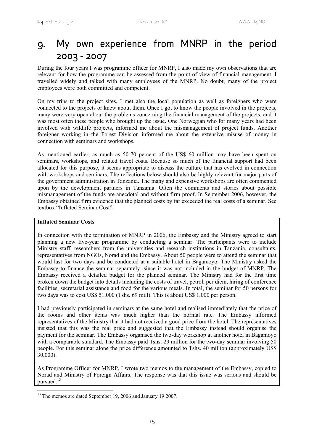### 9. My own experience from MNRP in the period 2003 **-** 2007

During the four years I was programme officer for MNRP, I also made my own observations that are relevant for how the programme can be assessed from the point of view of financial management. I travelled widely and talked with many employees of the MNRP. No doubt, many of the project employees were both committed and competent.

On my trips to the project sites, I met also the local population as well as foreigners who were connected to the projects or knew about them. Once I got to know the people involved in the projects, many were very open about the problems concerning the financial management of the projects, and it was most often these people who brought up the issue. One Norwegian who for many years had been involved with wildlife projects, informed me about the mismanagement of project funds. Another foreigner working in the Forest Division informed me about the extensive misuse of money in connection with seminars and workshops.

As mentioned earlier, as much as 50-70 percent of the US\$ 60 million may have been spent on seminars, workshops, and related travel costs. Because so much of the financial support had been allocated for this purpose, it seems appropriate to discuss the culture that has evolved in connection with workshops and seminars. The reflections below should also be highly relevant for major parts of the government administration in Tanzania. The many and expensive workshops are often commented upon by the development partners in Tanzania. Often the comments and stories about possible mismanagement of the funds are anecdotal and without firm proof. In September 2006, however, the Embassy obtained firm evidence that the planned costs by far exceeded the real costs of a seminar. See textbox "Inflated Seminar Cost":

#### **Inflated Seminar Costs**

In connection with the termination of MNRP in 2006, the Embassy and the Ministry agreed to start planning a new five-year programme by conducting a seminar. The participants were to include Ministry staff, researchers from the universities and research institutions in Tanzania, consultants, representatives from NGOs, Norad and the Embassy. About 50 people were to attend the seminar that would last for two days and be conducted at a suitable hotel in Bagamoyo. The Ministry asked the Embassy to finance the seminar separately, since it was not included in the budget of MNRP. The Embassy received a detailed budget for the planned seminar. The Ministry had for the first time broken down the budget into details including the costs of travel, petrol, per diem, hiring of conference facilities, secretarial assistance and food for the various meals. In total, the seminar for 50 persons for two days was to cost US\$ 51,000 (Tshs. 69 mill). This is about US\$ 1,000 per person.

I had previously participated in seminars at the same hotel and realised immediately that the price of the rooms and other items was much higher than the normal rate. The Embassy informed representatives of the Ministry that it had not received a good price from the hotel. The representatives insisted that this was the real price and suggested that the Embassy instead should organise the payment for the seminar. The Embassy organised the two-day workshop at another hotel in Bagamoyo with a comparable standard. The Embassy paid Tshs. 29 million for the two-day seminar involving 50 people. For this seminar alone the price difference amounted to Tshs. 40 million (approximately US\$ 30,000).

As Programme Officer for MNRP, I wrote two memos to the management of the Embassy, copied to Norad and Ministry of Foreign Affairs. The response was that this issue was serious and should be pursued.<sup>13</sup>

<sup>1</sup> <sup>13</sup> The memos are dated September 19, 2006 and January 19 2007.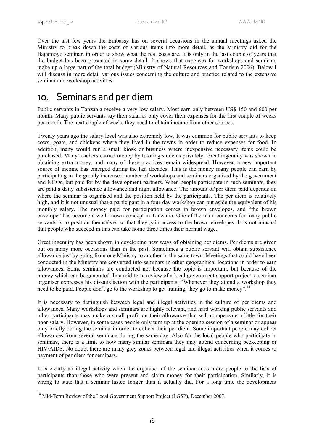Over the last few years the Embassy has on several occasions in the annual meetings asked the Ministry to break down the costs of various items into more detail, as the Ministry did for the Bagamoyo seminar, in order to show what the real costs are. It is only in the last couple of years that the budget has been presented in some detail. It shows that expenses for workshops and seminars make up a large part of the total budget (Ministry of Natural Resources and Tourism 2006). Below I will discuss in more detail various issues concerning the culture and practice related to the extensive seminar and workshop activities.

### 10. Seminars and per diem

Public servants in Tanzania receive a very low salary. Most earn only between US\$ 150 and 600 per month. Many public servants say their salaries only cover their expenses for the first couple of weeks per month. The next couple of weeks they need to obtain income from other sources.

Twenty years ago the salary level was also extremely low. It was common for public servants to keep cows, goats, and chickens where they lived in the towns in order to reduce expenses for food. In addition, many would run a small kiosk or business where inexpensive necessary items could be purchased. Many teachers earned money by tutoring students privately. Great ingenuity was shown in obtaining extra money, and many of these practices remain widespread. However, a new important source of income has emerged during the last decades. This is the money many people can earn by participating in the greatly increased number of workshops and seminars organised by the government and NGOs, but paid for by the development partners. When people participate in such seminars, they are paid a daily subsistence allowance and night allowance. The amount of per diem paid depends on where the seminar is organised and the position held by the participants. The per diem is relatively high, and it is not unusual that a participant in a four-day workshop can put aside the equivalent of his monthly salary. The money paid for participation comes in brown envelopes, and "the brown envelope" has become a well-known concept in Tanzania. One of the main concerns for many public servants is to position themselves so that they gain access to the brown envelopes. It is not unusual that people who succeed in this can take home three times their normal wage.

Great ingenuity has been shown in developing new ways of obtaining per diems. Per diems are given out on many more occasions than in the past. Sometimes a public servant will obtain subsistence allowance just by going from one Ministry to another in the same town. Meetings that could have been conducted in the Ministry are converted into seminars in other geographical locations in order to earn allowances. Some seminars are conducted not because the topic is important, but because of the money which can be generated. In a mid-term review of a local government support project, a seminar organiser expresses his dissatisfaction with the participants: "Whenever they attend a workshop they need to be paid. People don't go to the workshop to get training, they go to make money".<sup>14</sup>

It is necessary to distinguish between legal and illegal activities in the culture of per diems and allowances. Many workshops and seminars are highly relevant, and hard working public servants and other participants may make a small profit on their allowance that will compensate a little for their poor salary. However, in some cases people only turn up at the opening session of a seminar or appear only briefly during the seminar in order to collect their per diem. Some important people may collect allowances from several seminars during the same day. Also for the local people who participate in seminars, there is a limit to how many similar seminars they may attend concerning beekeeping or HIV/AIDS. No doubt there are many grey zones between legal and illegal activities when it comes to payment of per diem for seminars.

It is clearly an illegal activity when the organiser of the seminar adds more people to the lists of participants than those who were present and claim money for their participation. Similarly, it is wrong to state that a seminar lasted longer than it actually did. For a long time the development

<sup>1</sup> <sup>14</sup> Mid-Term Review of the Local Government Support Project (LGSP), December 2007.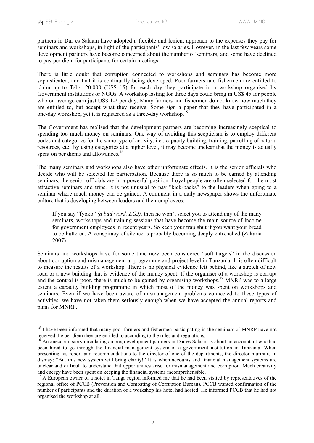-

partners in Dar es Salaam have adopted a flexible and lenient approach to the expenses they pay for seminars and workshops, in light of the participants' low salaries. However, in the last few years some development partners have become concerned about the number of seminars, and some have declined to pay per diem for participants for certain meetings.

There is little doubt that corruption connected to workshops and seminars has become more sophisticated, and that it is continually being developed. Poor farmers and fishermen are entitled to claim up to Tshs. 20,000 (US\$ 15) for each day they participate in a workshop organised by Government institutions or NGOs. A workshop lasting for three days could bring in US\$ 45 for people who on average earn just US\$ 1-2 per day. Many farmers and fishermen do not know how much they are entitled to, but accept what they receive. Some sign a paper that they have participated in a one-day workshop, yet it is registered as a three-day workshop.<sup>1</sup>

The Government has realised that the development partners are becoming increasingly sceptical to spending too much money on seminars. One way of avoiding this scepticism is to employ different codes and categories for the same type of activity, i.e., capacity building, training, patrolling of natural resources, etc. By using categories at a higher level, it may become unclear that the money is actually spent on per diems and allowances.<sup>16</sup>

The many seminars and workshops also have other unfortunate effects. It is the senior officials who decide who will be selected for participation. Because there is so much to be earned by attending seminars, the senior officials are in a powerful position. Loyal people are often selected for the most attractive seminars and trips. It is not unusual to pay "kick-backs" to the leaders when going to a seminar where much money can be gained. A comment in a daily newspaper shows the unfortunate culture that is developing between leaders and their employees:

If you say "fyoko" *(a bad word, EGJ),* then he won't select you to attend any of the many seminars, workshops and training sessions that have become the main source of income for government employees in recent years. So keep your trap shut if you want your bread to be buttered. A conspiracy of silence is probably becoming deeply entrenched (Zakaria 2007).

Seminars and workshops have for some time now been considered "soft targets" in the discussion about corruption and mismanagement at programme and project level in Tanzania. It is often difficult to measure the results of a workshop. There is no physical evidence left behind, like a stretch of new road or a new building that is evidence of the money spent. If the organiser of a workshop is corrupt and the control is poor, there is much to be gained by organising workshops.<sup>17</sup> MNRP was to a large extent a capacity building programme in which most of the money was spent on workshops and seminars. Even if we have been aware of mismanagement problems connected to these types of activities, we have not taken them seriously enough when we have accepted the annual reports and plans for MNRP.

 $15$  I have been informed that many poor farmers and fishermen participating in the seminars of MNRP have not received the per diem they are entitled to according to the rules and regulations.

 $16$  An anecdotal story circulating among development partners in Dar es Salaam is about an accountant who had been hired to go through the financial management system of a government institution in Tanzania. When presenting his report and recommendations to the director of one of the departments, the director murmurs in dismay: "But this new system will bring clarity!" It is when accounts and financial management systems are unclear and difficult to understand that opportunities arise for mismanagement and corruption. Much creativity and energy have been spent on keeping the financial systems incomprehensible.

<sup>&</sup>lt;sup>17</sup> A European owner of a hotel in Tanga region informed me that he had been visited by representatives of the regional office of PCCB (Prevention and Combating of Corruption Bureau). PCCB wanted confirmation of the number of participants and the duration of a workshop his hotel had hosted. He informed PCCB that he had not organised the workshop at all.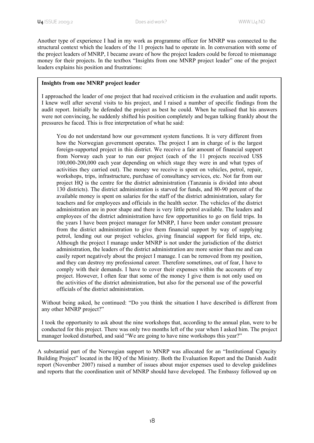Another type of experience I had in my work as programme officer for MNRP was connected to the structural context which the leaders of the 11 projects had to operate in. In conversation with some of the project leaders of MNRP, I became aware of how the project leaders could be forced to mismanage money for their projects. In the textbox "Insights from one MNRP project leader" one of the project leaders explains his position and frustrations:

#### **Insights from one MNRP project leader**

I approached the leader of one project that had received criticism in the evaluation and audit reports. I knew well after several visits to his project, and I raised a number of specific findings from the audit report. Initially he defended the project as best he could. When he realised that his answers were not convincing, he suddenly shifted his position completely and began talking frankly about the pressures he faced. This is free interpretation of what he said:

You do not understand how our government system functions. It is very different from how the Norwegian government operates. The project I am in charge of is the largest foreign-supported project in this district. We receive a fair amount of financial support from Norway each year to run our project (each of the 11 projects received US\$ 100,000-200,000 each year depending on which stage they were in and what types of activities they carried out). The money we receive is spent on vehicles, petrol, repair, workshops, trips, infrastructure, purchase of consultancy services, etc. Not far from our project HQ is the centre for the district administration (Tanzania is divided into about 130 districts). The district administration is starved for funds, and 80-90 percent of the available money is spent on salaries for the staff of the district administration, salary for teachers and for employees and officials in the health sector. The vehicles of the district administration are in poor shape and there is very little petrol available. The leaders and employees of the district administration have few opportunities to go on field trips. In the years I have been project manager for MNRP, I have been under constant pressure from the district administration to give them financial support by way of supplying petrol, lending out our project vehicles, giving financial support for field trips, etc. Although the project I manage under MNRP is not under the jurisdiction of the district administration, the leaders of the district administration are more senior than me and can easily report negatively about the project I manage. I can be removed from my position, and they can destroy my professional career. Therefore sometimes, out of fear, I have to comply with their demands. I have to cover their expenses within the accounts of my project. However, I often fear that some of the money I give them is not only used on the activities of the district administration, but also for the personal use of the powerful officials of the district administration.

Without being asked, he continued: "Do you think the situation I have described is different from any other MNRP project?"

I took the opportunity to ask about the nine workshops that, according to the annual plan, were to be conducted for this project. There was only two months left of the year when I asked him. The project manager looked disturbed, and said "We are going to have nine workshops this year?"

A substantial part of the Norwegian support to MNRP was allocated for an "Institutional Capacity Building Project" located in the HQ of the Ministry. Both the Evaluation Report and the Danish Audit report (November 2007) raised a number of issues about major expenses used to develop guidelines and reports that the coordination unit of MNRP should have developed. The Embassy followed up on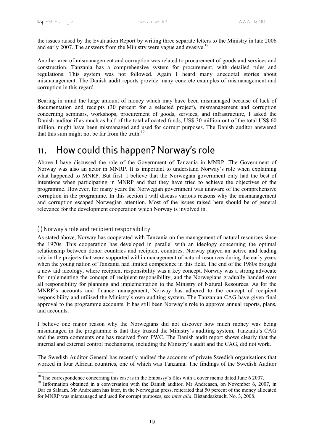the issues raised by the Evaluation Report by writing three separate letters to the Ministry in late 2006 and early 2007. The answers from the Ministry were vague and evasive.<sup>18</sup>

Another area of mismanagement and corruption was related to procurement of goods and services and construction. Tanzania has a comprehensive system for procurement, with detailed rules and regulations. This system was not followed. Again I heard many anecdotal stories about mismanagement. The Danish audit reports provide many concrete examples of mismanagement and corruption in this regard.

Bearing in mind the large amount of money which may have been mismanaged because of lack of documentation and receipts (30 percent for a selected project), mismanagement and corruption concerning seminars, workshops, procurement of goods, services, and infrastructure, I asked the Danish auditor if as much as half of the total allocated funds, US\$ 30 million out of the total US\$ 60 million, might have been mismanaged and used for corrupt purposes. The Danish auditor answered that this sum might not be far from the truth.<sup>19</sup>

### 11. How could this happen? Norway's role

Above I have discussed the role of the Government of Tanzania in MNRP. The Government of Norway was also an actor in MNRP. It is important to understand Norway's role when explaining what happened to MNRP. But first: I believe that the Norwegian government only had the best of intentions when participating in MNRP and that they have tried to achieve the objectives of the programme. However, for many years the Norwegian government was unaware of the comprehensive corruption in the programme. In this section I will discuss various reasons why the mismanagement and corruption escaped Norwegian attention. Most of the issues raised here should be of general relevance for the development cooperation which Norway is involved in.

#### (i) Norway's role and recipient responsibility

1

As stated above, Norway has cooperated with Tanzania on the management of natural resources since the 1970s. This cooperation has developed in parallel with an ideology concerning the optimal relationship between donor countries and recipient countries. Norway played an active and leading role in the projects that were supported within management of natural resources during the early years when the young nation of Tanzania had limited competence in this field. The end of the 1980s brought a new aid ideology, where recipient responsibility was a key concept. Norway was a strong advocate for implementing the concept of recipient responsibility, and the Norwegians gradually handed over all responsibility for planning and implementation to the Ministry of Natural Resources. As for the MNRP's accounts and finance management, Norway has adhered to the concept of recipient responsibility and utilised the Ministry's own auditing system. The Tanzanian CAG have given final approval to the programme accounts. It has still been Norway's role to approve annual reports, plans, and accounts.

I believe one major reason why the Norwegians did not discover how much money was being mismanaged in the programme is that they trusted the Ministry's auditing system, Tanzania's CAG and the extra comments one has received from PWC. The Danish audit report shows clearly that the internal and external control mechanisms, including the Ministry's audit and the CAG, did not work.

The Swedish Auditor General has recently audited the accounts of private Swedish organisations that worked in four African countries, one of which was Tanzania. The findings of the Swedish Auditor

 $18$  The correspondence concerning this case is in the Embassy's files with a cover memo dated June 6 2007.

<sup>&</sup>lt;sup>19</sup> Information obtained in a conversation with the Danish auditor, Mr Andreasen, on November 6, 2007, in Dar es Salaam. Mr Andreasen has later, in the Norwegian press, reiterated that 50 percent of the money allocated for MNRP was mismanaged and used for corrupt purposes, see *inter alia*, Bistandsaktuelt, No. 3, 2008.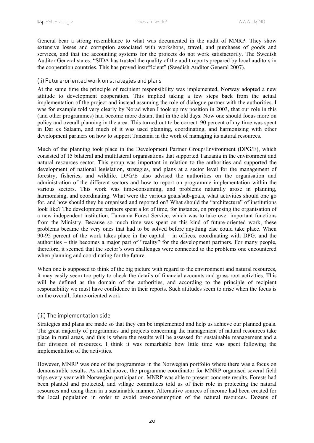General bear a strong resemblance to what was documented in the audit of MNRP. They show extensive losses and corruption associated with workshops, travel, and purchases of goods and services, and that the accounting systems for the projects do not work satisfactorily. The Swedish Auditor General states: "SIDA has trusted the quality of the audit reports prepared by local auditors in the cooperation countries. This has proved insufficient" (Swedish Auditor General 2007).

#### (ii) Future-oriented work on strategies and plans

At the same time the principle of recipient responsibility was implemented, Norway adopted a new attitude to development cooperation. This implied taking a few steps back from the actual implementation of the project and instead assuming the role of dialogue partner with the authorities. I was for example told very clearly by Norad when I took up my position in 2003, that our role in this (and other programmes) had become more distant that in the old days. Now one should focus more on policy and overall planning in the area. This turned out to be correct. 90 percent of my time was spent in Dar es Salaam, and much of it was used planning, coordinating, and harmonising with other development partners on how to support Tanzania in the work of managing its natural resources.

Much of the planning took place in the Development Partner Group/Environment (DPG/E), which consisted of 15 bilateral and multilateral organisations that supported Tanzania in the environment and natural resources sector. This group was important in relation to the authorities and supported the development of national legislation, strategies, and plans at a sector level for the management of forestry, fisheries, and wildlife. DPG/E also advised the authorities on the organisation and administration of the different sectors and how to report on programme implementation within the various sectors. This work was time-consuming, and problems naturally arose in planning, harmonising, and coordinating. What were the various goals/sub-goals, what activities should one go for, and how should they be organised and reported on? What should the "architecture" of institutions look like? The development partners spent a lot of time, for instance, on proposing the organisation of a new independent institution, Tanzania Forest Service, which was to take over important functions from the Ministry. Because so much time was spent on this kind of future-oriented work, these problems became the very ones that had to be solved before anything else could take place. When 90-95 percent of the work takes place in the capital – in offices, coordinating with DPG, and the authorities – this becomes a major part of "reality" for the development partners. For many people, therefore, it seemed that the sector's own challenges were connected to the problems one encountered when planning and coordinating for the future.

When one is supposed to think of the big picture with regard to the environment and natural resources, it may easily seem too petty to check the details of financial accounts and grass root activities. This will be defined as the domain of the authorities, and according to the principle of recipient responsibility we must have confidence in their reports. Such attitudes seem to arise when the focus is on the overall, future-oriented work.

#### (iii) The implementation side

Strategies and plans are made so that they can be implemented and help us achieve our planned goals. The great majority of programmes and projects concerning the management of natural resources take place in rural areas, and this is where the results will be assessed for sustainable management and a fair division of resources. I think it was remarkable how little time was spent following the implementation of the activities.

However, MNRP was one of the programmes in the Norwegian portfolio where there was a focus on demonstrable results. As stated above, the programme coordinator for MNRP organised several field trips every year with Norwegian participation. MNRP was able to present concrete results. Forests had been planted and protected, and village committees told us of their role in protecting the natural resources and using them in a sustainable manner. Alternative sources of income had been created for the local population in order to avoid over-consumption of the natural resources. Dozens of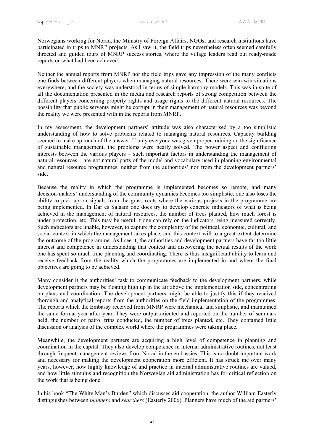Norwegians working for Norad, the Ministry of Foreign Affairs, NGOs, and research institutions have participated in trips to MNRP projects. As I saw it, the field trips nevertheless often seemed carefully directed and guided tours of MNRP success stories, where the village leaders read out ready-made reports on what had been achieved.

Neither the annual reports from MNRP nor the field trips gave any impression of the many conflicts one finds between different players when managing natural resources. There were win-win situations everywhere, and the society was understood in terms of simple harmony models. This was in spite of all the documentation presented in the media and research reports of strong competition between the different players concerning property rights and usage rights to the different natural resources. The possibility that public servants might be corrupt in their management of natural resources was beyond the reality we were presented with in the reports from MNRP.

In my assessment, the development partners' attitude was also characterised by a too simplistic understanding of how to solve problems related to managing natural resources. Capacity building seemed to make up much of the answer. If only everyone was given proper training on the significance of sustainable management, the problems were nearly solved. The power aspect and conflicting interests between the various players – such important factors in understanding the management of natural resources – are not natural parts of the model and vocabulary used in planning environmental and natural resource programmes, neither from the authorities' nor from the development partners' side.

Because the reality in which the programme is implemented becomes so remote, and many decision-makers' understanding of the community dynamics becomes too simplistic, one also loses the ability to pick up on signals from the grass roots where the various projects in the programme are being implemented. In Dar es Salaam one does try to develop concrete indicators of what is being achieved in the management of natural resources, the number of trees planted, how much forest is under protection, etc. This may be useful if one can rely on the indicators being measured correctly. Such indicators are unable, however, to capture the complexity of the political, economic, cultural, and social context in which the management takes place, and this context will to a great extent determine the outcome of the programme. As I see it, the authorities and development partners have far too little interest and competence in understanding that context and discovering the actual results of the work one has spent so much time planning and coordinating. There is thus insignificant ability to learn and receive feedback from the reality which the programmes are implemented in and where the final objectives are going to be achieved.

Many consider it the authorities' task to communicate feedback to the development partners, while development partners may be floating high up in the air above the implementation side, concentrating on plans and coordination. The development partners might be able to justify this if they received thorough and analytical reports from the authorities on the field implementation of the programmes. The reports which the Embassy received from MNRP were mechanical and simplistic, and maintained the same format year after year. They were output-oriented and reported on the number of seminars held, the number of patrol trips conducted, the number of trees planted, etc. They contained little discussion or analysis of the complex world where the programmes were taking place.

Meanwhile, the development partners are acquiring a high level of competence in planning and coordination in the capital. They also develop competence in internal administrative routines, not least through frequent management reviews from Norad in the embassies. This is no doubt important work and necessary for making the development cooperation more efficient. It has struck me over many years, however, how highly knowledge of and practice in internal administrative routines are valued, and how little stimulus and recognition the Norwegian aid administration has for critical reflection on the work that is being done.

In his book "The White Man's Burden" which discusses aid cooperation, the author William Easterly distinguishes between *planners* and *searchers* (Easterly 2006). Planners have much of the aid partners'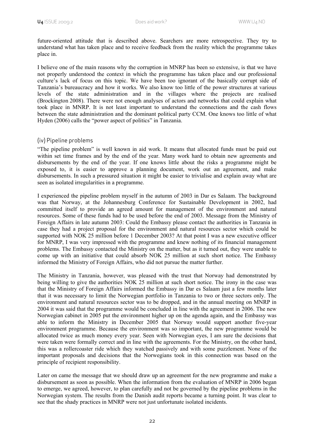future-oriented attitude that is described above. Searchers are more retrospective. They try to understand what has taken place and to receive feedback from the reality which the programme takes place in.

I believe one of the main reasons why the corruption in MNRP has been so extensive, is that we have not properly understood the context in which the programme has taken place and our professional culture's lack of focus on this topic. We have been too ignorant of the basically corrupt side of Tanzania's bureaucracy and how it works. We also know too little of the power structures at various levels of the state administration and in the villages where the projects are realised (Brockington 2008). There were not enough analyses of actors and networks that could explain what took place in MNRP. It is not least important to understand the connections and the cash flows between the state administration and the dominant political party CCM. One knows too little of what Hyden (2006) calls the "power aspect of politics" in Tanzania.

#### (iv) Pipeline problems

"The pipeline problem" is well known in aid work. It means that allocated funds must be paid out within set time frames and by the end of the year. Many work hard to obtain new agreements and disbursements by the end of the year. If one knows little about the risks a programme might be exposed to, it is easier to approve a planning document, work out an agreement, and make disbursements. In such a pressured situation it might be easier to trivialise and explain away what are seen as isolated irregularities in a programme.

I experienced the pipeline problem myself in the autumn of 2003 in Dar es Salaam. The background was that Norway, at the Johannesburg Conference for Sustainable Development in 2002, had committed itself to provide an agreed amount for management of the environment and natural resources. Some of these funds had to be used before the end of 2003. Message from the Ministry of Foreign Affairs in late autumn 2003: Could the Embassy please contact the authorities in Tanzania in case they had a project proposal for the environment and natural resources sector which could be supported with NOK 25 million before 1 December 2003? At that point I was a new executive officer for MNRP, I was very impressed with the programme and knew nothing of its financial management problems. The Embassy contacted the Ministry on the matter, but as it turned out, they were unable to come up with an initiative that could absorb NOK 25 million at such short notice. The Embassy informed the Ministry of Foreign Affairs, who did not pursue the matter further.

The Ministry in Tanzania, however, was pleased with the trust that Norway had demonstrated by being willing to give the authorities NOK 25 million at such short notice. The irony in the case was that the Ministry of Foreign Affairs informed the Embassy in Dar es Salaam just a few months later that it was necessary to limit the Norwegian portfolio in Tanzania to two or three sectors only. The environment and natural resources sector was to be dropped, and in the annual meeting on MNRP in 2004 it was said that the programme would be concluded in line with the agreement in 2006. The new Norwegian cabinet in 2005 put the environment higher up on the agenda again, and the Embassy was able to inform the Ministry in December 2005 that Norway would support another five-year environment programme. Because the environment was so important, the new programme would be allocated twice as much money every year. Seen with Norwegian eyes, I am sure the decisions that were taken were formally correct and in line with the agreements. For the Ministry, on the other hand, this was a rollercoaster ride which they watched passively and with some puzzlement. None of the important proposals and decisions that the Norwegians took in this connection was based on the principle of recipient responsibility.

Later on came the message that we should draw up an agreement for the new programme and make a disbursement as soon as possible. When the information from the evaluation of MNRP in 2006 began to emerge, we agreed, however, to plan carefully and not be governed by the pipeline problems in the Norwegian system. The results from the Danish audit reports became a turning point. It was clear to see that the shady practices in MNRP were not just unfortunate isolated incidents.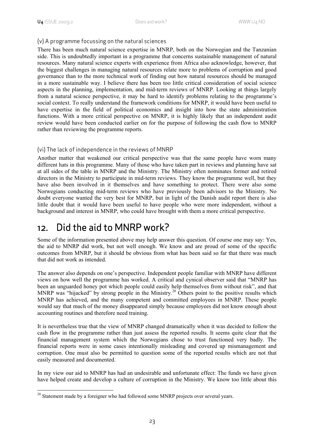#### (v) A programme focussing on the natural sciences

There has been much natural science expertise in MNRP, both on the Norwegian and the Tanzanian side. This is undoubtedly important in a programme that concerns sustainable management of natural resources. Many natural science experts with experience from Africa also acknowledge, however, that the biggest challenges in managing natural resources relate more to problems of corruption and good governance than to the more technical work of finding out how natural resources should be managed in a more sustainable way. I believe there has been too little critical consideration of social science aspects in the planning, implementation, and mid-term reviews of MNRP. Looking at things largely from a natural science perspective, it may be hard to identify problems relating to the programme's social context. To really understand the framework conditions for MNRP, it would have been useful to have expertise in the field of political economics and insight into how the state administration functions. With a more critical perspective on MNRP, it is highly likely that an independent audit review would have been conducted earlier on for the purpose of following the cash flow to MNRP rather than reviewing the programme reports.

#### (vi) The lack of independence in the reviews of MNRP

Another matter that weakened our critical perspective was that the same people have worn many different hats in this programme. Many of those who have taken part in reviews and planning have sat at all sides of the table in MNRP and the Ministry. The Ministry often nominates former and retired directors in the Ministry to participate in mid-term reviews. They know the programme well, but they have also been involved in it themselves and have something to protect. There were also some Norwegians conducting mid-term reviews who have previously been advisors to the Ministry. No doubt everyone wanted the very best for MNRP, but in light of the Danish audit report there is also little doubt that it would have been useful to have people who were more independent, without a background and interest in MNRP, who could have brought with them a more critical perspective.

### 12. Did the aid to MNRP work?

Some of the information presented above may help answer this question. Of course one may say: Yes, the aid to MNRP did work, but not well enough. We know and are proud of some of the specific outcomes from MNRP, but it should be obvious from what has been said so far that there was much that did not work as intended.

The answer also depends on one's perspective. Independent people familiar with MNRP have different views on how well the programme has worked. A critical and cynical observer said that "MNRP has been an unguarded honey pot which people could easily help themselves from without risk", and that MNRP was "hijacked" by strong people in the Ministry.<sup>20</sup> Others point to the positive results which MNRP has achieved, and the many competent and committed employees in MNRP. These people would say that much of the money disappeared simply because employees did not know enough about accounting routines and therefore need training.

It is nevertheless true that the view of MNRP changed dramatically when it was decided to follow the cash flow in the programme rather than just assess the reported results. It seems quite clear that the financial management system which the Norwegians chose to trust functioned very badly. The financial reports were in some cases intentionally misleading and covered up mismanagement and corruption. One must also be permitted to question some of the reported results which are not that easily measured and documented.

In my view our aid to MNRP has had an undesirable and unfortunate effect: The funds we have given have helped create and develop a culture of corruption in the Ministry. We know too little about this

<sup>1</sup> <sup>20</sup> Statement made by a foreigner who had followed some MNRP projects over several years.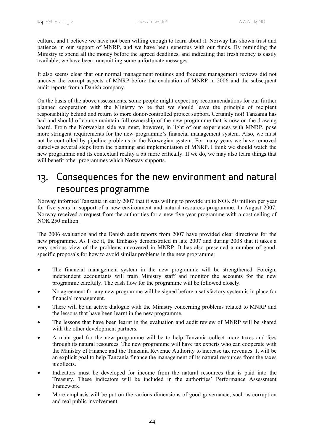culture, and I believe we have not been willing enough to learn about it. Norway has shown trust and patience in our support of MNRP, and we have been generous with our funds. By reminding the Ministry to spend all the money before the agreed deadlines, and indicating that fresh money is easily available, we have been transmitting some unfortunate messages.

It also seems clear that our normal management routines and frequent management reviews did not uncover the corrupt aspects of MNRP before the evaluation of MNRP in 2006 and the subsequent audit reports from a Danish company.

On the basis of the above assessments, some people might expect my recommendations for our further planned cooperation with the Ministry to be that we should leave the principle of recipient responsibility behind and return to more donor-controlled project support. Certainly not! Tanzania has had and should of course maintain full ownership of the new programme that is now on the drawing board. From the Norwegian side we must, however, in light of our experiences with MNRP, pose more stringent requirements for the new programme's financial management system. Also, we must not be controlled by pipeline problems in the Norwegian system. For many years we have removed ourselves several steps from the planning and implementation of MNRP. I think we should watch the new programme and its contextual reality a bit more critically. If we do, we may also learn things that will benefit other programmes which Norway supports.

### 13. Consequences for the new environment and natural resources programme

Norway informed Tanzania in early 2007 that it was willing to provide up to NOK 50 million per year for five years in support of a new environment and natural resources programme. In August 2007, Norway received a request from the authorities for a new five-year programme with a cost ceiling of NOK 250 million.

The 2006 evaluation and the Danish audit reports from 2007 have provided clear directions for the new programme. As I see it, the Embassy demonstrated in late 2007 and during 2008 that it takes a very serious view of the problems uncovered in MNRP. It has also presented a number of good, specific proposals for how to avoid similar problems in the new programme:

- The financial management system in the new programme will be strengthened. Foreign, independent accountants will train Ministry staff and monitor the accounts for the new programme carefully. The cash flow for the programme will be followed closely.
- No agreement for any new programme will be signed before a satisfactory system is in place for financial management.
- There will be an active dialogue with the Ministry concerning problems related to MNRP and the lessons that have been learnt in the new programme.
- The lessons that have been learnt in the evaluation and audit review of MNRP will be shared with the other development partners.
- A main goal for the new programme will be to help Tanzania collect more taxes and fees through its natural resources. The new programme will have tax experts who can cooperate with the Ministry of Finance and the Tanzania Revenue Authority to increase tax revenues. It will be an explicit goal to help Tanzania finance the management of its natural resources from the taxes it collects.
- Indicators must be developed for income from the natural resources that is paid into the Treasury. These indicators will be included in the authorities' Performance Assessment Framework.
- More emphasis will be put on the various dimensions of good governance, such as corruption and real public involvement.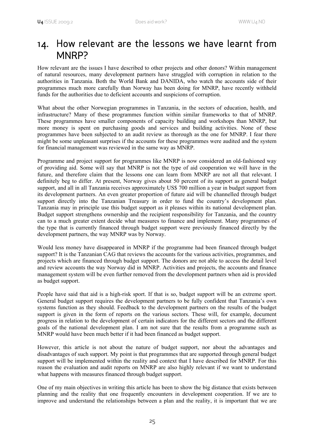### 14. How relevant are the lessons we have learnt from MNRP?

How relevant are the issues I have described to other projects and other donors? Within management of natural resources, many development partners have struggled with corruption in relation to the authorities in Tanzania. Both the World Bank and DANIDA, who watch the accounts side of their programmes much more carefully than Norway has been doing for MNRP, have recently withheld funds for the authorities due to deficient accounts and suspicions of corruption.

What about the other Norwegian programmes in Tanzania, in the sectors of education, health, and infrastructure? Many of these programmes function within similar frameworks to that of MNRP. These programmes have smaller components of capacity building and workshops than MNRP, but more money is spent on purchasing goods and services and building activities. None of these programmes have been subjected to an audit review as thorough as the one for MNRP. I fear there might be some unpleasant surprises if the accounts for these programmes were audited and the system for financial management was reviewed in the same way as MNRP.

Programme and project support for programmes like MNRP is now considered an old-fashioned way of providing aid. Some will say that MNRP is not the type of aid cooperation we will have in the future, and therefore claim that the lessons one can learn from MNRP are not all that relevant. I definitely beg to differ. At present, Norway gives about 50 percent of its support as general budget support, and all in all Tanzania receives approximately US\$ 700 million a year in budget support from its development partners. An even greater proportion of future aid will be channelled through budget support directly into the Tanzanian Treasury in order to fund the country's development plan. Tanzania may in principle use this budget support as it pleases within its national development plan. Budget support strengthens ownership and the recipient responsibility for Tanzania, and the country can to a much greater extent decide what measures to finance and implement. Many programmes of the type that is currently financed through budget support were previously financed directly by the development partners, the way MNRP was by Norway.

Would less money have disappeared in MNRP if the programme had been financed through budget support? It is the Tanzanian CAG that reviews the accounts for the various activities, programmes, and projects which are financed through budget support. The donors are not able to access the detail level and review accounts the way Norway did in MNRP. Activities and projects, the accounts and finance management system will be even further removed from the development partners when aid is provided as budget support.

People have said that aid is a high-risk sport. If that is so, budget support will be an extreme sport. General budget support requires the development partners to be fully confident that Tanzania's own systems function as they should. Feedback to the development partners on the results of the budget support is given in the form of reports on the various sectors. These will, for example, document progress in relation to the development of certain indicators for the different sectors and the different goals of the national development plan. I am not sure that the results from a programme such as MNRP would have been much better if it had been financed as budget support.

However, this article is not about the nature of budget support, nor about the advantages and disadvantages of such support. My point is that programmes that are supported through general budget support will be implemented within the reality and context that I have described for MNRP. For this reason the evaluation and audit reports on MNRP are also highly relevant if we want to understand what happens with measures financed through budget support.

One of my main objectives in writing this article has been to show the big distance that exists between planning and the reality that one frequently encounters in development cooperation. If we are to improve and understand the relationships between a plan and the reality, it is important that we are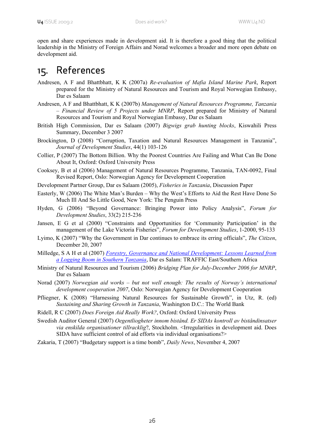open and share experiences made in development aid. It is therefore a good thing that the political leadership in the Ministry of Foreign Affairs and Norad welcomes a broader and more open debate on development aid.

### 15. References

- Andresen, A F and Bhattbhatt, K K (2007a) *Re-evaluation of Mafia Island Marine Park*, Report prepared for the Ministry of Natural Resources and Tourism and Royal Norwegian Embassy, Dar es Salaam
- Andresen, A F and Bhattbhatt, K K (2007b) *Management of Natural Resources Programme, Tanzania – Financial Review of 5 Projects under MNRP*, Report prepared for Ministry of Natural Resources and Tourism and Royal Norwegian Embassy, Dar es Salaam
- British High Commission, Dar es Salaam (2007) *Bigwigs grab hunting blocks*, Kiswahili Press Summary, December 3 2007
- Brockington, D (2008) "Corruption, Taxation and Natural Resources Management in Tanzania", *Journal of Development Studies*, 44(1) 103-126
- Collier, P (2007) The Bottom Billion. Why the Poorest Countries Are Failing and What Can Be Done About It, Oxford: Oxford University Press
- Cooksey, B et al (2006) Management of Natural Resources Programme, Tanzania, TAN-0092, Final Revised Report, Oslo: Norwegian Agency for Development Cooperation
- Development Partner Group, Dar es Salaam (2005), *Fisheries in Tanzania*, Discussion Paper
- Easterly, W (2006) The White Man's Burden Why the West's Efforts to Aid the Rest Have Done So Much Ill And So Little Good, New York: The Penguin Press
- Hyden, G (2006) "Beyond Governance: Bringing Power into Policy Analysis", *Forum for Development Studies*, 33(2) 215-236
- Jansen, E G et al (2000) "Constraints and Opportunities for 'Community Participation' in the management of the Lake Victoria Fisheries", *Forum for Development Studies*, 1-2000, 95-133
- Lyimo, K (2007) "Why the Government in Dar continues to embrace its erring officials", *The Citizen*, December 20, 2007
- Milledge, S A H et al (2007) *Forestry, Governance and National Development: Lessons Learned from a Logging Boom in Southern Tanzania*, Dar es Salam: TRAFFIC East/Southern Africa
- Ministry of Natural Resources and Tourism (2006) *Bridging Plan for July-December 2006 for MNRP*, Dar es Salaam
- Norad (2007) *Norwegian aid works but not well enough: The results of Norway's international development cooperation 2007*, Oslo: Norwegian Agency for Development Cooperation
- Pfliegner, K (2008) "Harnessing Natural Resources for Sustainable Growth", in Utz, R. (ed) *Sustaining and Sharing Growth in Tanzania*, Washington D.C.: The World Bank
- Ridell, R C (2007) *Does Foreign Aid Really Work?*, Oxford: Oxford University Press
- Swedish Auditor General (2007) *Oegentliogheter innom bistånd. Er SIDAs kontroll av biståndinsatser via enskilda organisationer tillracklig*?, Stockholm. <Irregularities in development aid. Does SIDA have sufficient control of aid efforts via individual organisations?>
- Zakaria, T (2007) "Budgetary support is a time bomb", *Daily News*, November 4, 2007